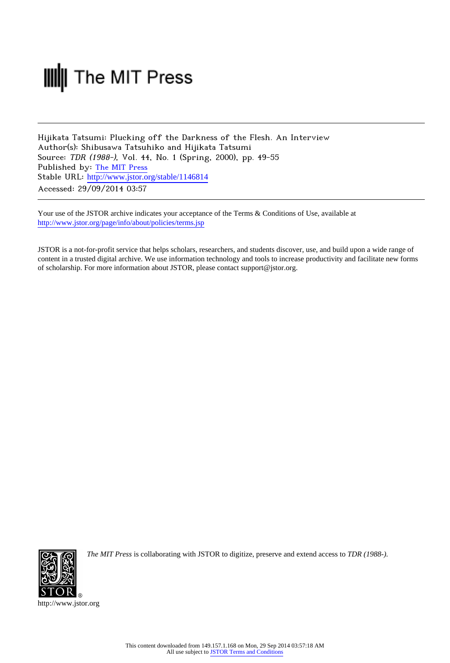# **III** The MIT Press

Hijikata Tatsumi: Plucking off the Darkness of the Flesh. An Interview Author(s): Shibusawa Tatsuhiko and Hijikata Tatsumi Source: TDR (1988-), Vol. 44, No. 1 (Spring, 2000), pp. 49-55 Published by: [The MIT Press](http://www.jstor.org/action/showPublisher?publisherCode=mitpress) Stable URL: [http://www.jstor.org/stable/1146814](http://www.jstor.org/stable/1146814?origin=JSTOR-pdf) Accessed: 29/09/2014 03:57

Your use of the JSTOR archive indicates your acceptance of the Terms & Conditions of Use, available at <http://www.jstor.org/page/info/about/policies/terms.jsp>

JSTOR is a not-for-profit service that helps scholars, researchers, and students discover, use, and build upon a wide range of content in a trusted digital archive. We use information technology and tools to increase productivity and facilitate new forms of scholarship. For more information about JSTOR, please contact support@jstor.org.



*The MIT Press* is collaborating with JSTOR to digitize, preserve and extend access to *TDR (1988-).*

http://www.jstor.org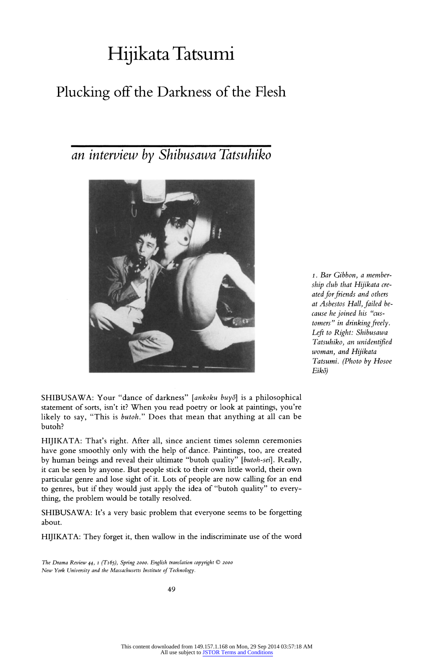## Hijikata Tatsumi

## Plucking off the Darkness of the Flesh

### an interview by Shibusawa Tatsuhiko



1. Bar Gibbon, a membership club that Hijikata created for friends and others at Asbestos Hall, failed because he joined his "customers" in drinking freely. Left to Right: Shibusawa Tatsuhiko, an unidentified woman, and Hijikata Tatsumi. (Photo by Hosoe Eik5)

SHIBUSAWA: Your "dance of darkness" [ankoku buyō] is a philosophical statement of sorts, isn't it? When you read poetry or look at paintings, you're likely to say, "This is butoh." Does that mean that anything at all can be butoh?

HIJIKATA: That's right. After all, since ancient times solemn ceremonies have gone smoothly only with the help of dance. Paintings, too, are created by human beings and reveal their ultimate "butoh quality" [butoh-sei]. Really, it can be seen by anyone. But people stick to their own little world, their own particular genre and lose sight of it. Lots of people are now calling for an end to genres, but if they would just apply the idea of "butoh quality" to everything, the problem would be totally resolved.

SHIBUSAWA: It's a very basic problem that everyone seems to be forgetting about.

HIJIKATA: They forget it, then wallow in the indiscriminate use of the word

The Drama Review 44, 1 (T165), Spring 2000. English translation copyright  $\mathbb O$  2000 New York University and the Massachusetts Institute of Technology.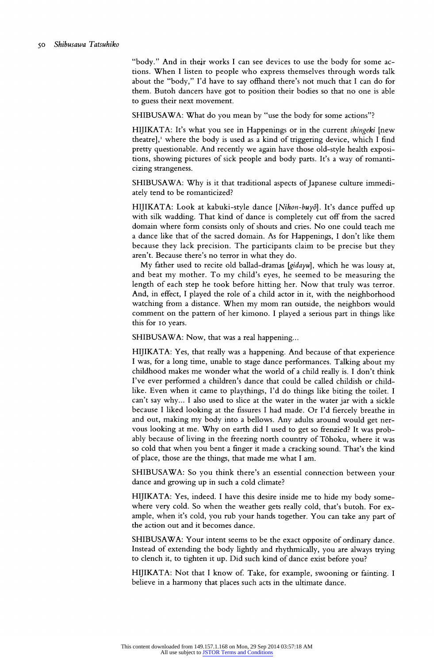"body." And in their works I can see devices to use the body for some actions. When I listen to people who express themselves through words talk about the "body," I'd have to say offhand there's not much that I can do for them. Butoh dancers have got to position their bodies so that no one is able to guess their next movement.

SHIBUSAWA: What do you mean by "use the body for some actions"?

HIJIKATA: It's what you see in Happenings or in the current shingeki [new theatre],' where the body is used as a kind of triggering device, which I find pretty questionable. And recently we again have those old-style health expositions, showing pictures of sick people and body parts. It's a way of romanticizing strangeness.

SHIBUSAWA: Why is it that traditional aspects of Japanese culture immediately tend to be romanticized?

HIJIKATA: Look at kabuki-style dance [Nihon-buyō]. It's dance puffed up with silk wadding. That kind of dance is completely cut off from the sacred domain where form consists only of shouts and cries. No one could teach me a dance like that of the sacred domain. As for Happenings, I don't like them because they lack precision. The participants claim to be precise but they aren't. Because there's no terror in what they do.

My father used to recite old ballad-dramas [gidayu], which he was lousy at, and beat my mother. To my child's eyes, he seemed to be measuring the length of each step he took before hitting her. Now that truly was terror. And, in effect, I played the role of a child actor in it, with the neighborhood watching from a distance. When my mom ran outside, the neighbors would comment on the pattern of her kimono. I played a serious part in things like this for Io years.

SHIBUSAWA: Now, that was a real happening...

HIJIKATA: Yes, that really was a happening. And because of that experience I was, for a long time, unable to stage dance performances. Talking about my childhood makes me wonder what the world of a child really is. I don't think I've ever performed a children's dance that could be called childish or childlike. Even when it came to playthings, I'd do things like biting the toilet. I can't say why... I also used to slice at the water in the water jar with a sickle because I liked looking at the fissures I had made. Or I'd fiercely breathe in and out, making my body into a bellows. Any adults around would get nervous looking at me. Why on earth did I used to get so frenzied? Itwas probably because of living in the freezing north country of Tōhoku, where it was so cold that when you bent a finger it made a cracking sound. That's the kind of place, those are the things, that made me what I am.

SHIBUSAWA: So you think there's an essential connection between your dance and growing up in such a cold climate?

HIJIKATA: Yes, indeed. I have this desire inside me to hide my body somewhere very cold. So when the weather gets really cold, that's butoh. For example, when it's cold, you rub your hands together. You can take any part of the action out and it becomes dance.

SHIBUSAWA: Your intent seems to be the exact opposite of ordinary dance. Instead of extending the body lightly and rhythmically, you are always trying to clench it, to tighten it up. Did such kind of dance exist before you?

HIJIKATA: Not that I know of. Take, for example, swooning or fainting. I believe in a harmony that places such acts in the ultimate dance.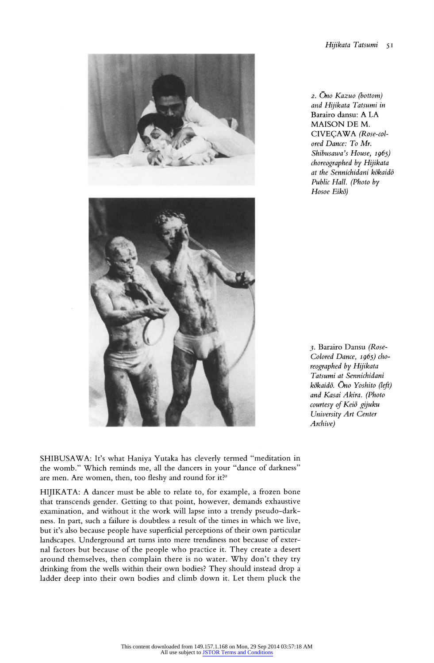

2. Ono Kazuo (bottom) and Hijikata Tatsumi in Barairo dansu: A LA MAISON DE M. CIVEÇAWA (Rose-colored Dance: To Mr. Shibusawa's House, 1965) choreographed by Hijikata at the Sennichidani kōkaidō Public Hall. (Photo by Hosoe Eikō)

3. Barairo Dansu (Rose-Colored Dance, 1965) cho-Tatsumi at Sennichidani kōkaidō. Ōno Yoshito (left) and Kasai Akira. (Photo courtesy of Keiō gijuku University Art Center Archive)

SHIBUSAWA: It's what Haniya Yutaka has cleverly termed "meditation in the womb." Which reminds me, all the dancers in your "dance of darkness" are men. Are women, then, too fleshy and round for it?<sup>2</sup>

HIJIKATA: A dancer must be able to relate to, for example, a frozen bone that transcends gender. Getting to that point, however, demands exhaustive examination, and without it the work will lapse into a trendy pseudo-darkness. In part, such a failure is doubtless a result of the times in which we live, but it's also because people have superficial perceptions of their own particular landscapes. Underground art turns into mere trendiness not because of external factors but because of the people who practice it. They create a desert around themselves, then complain there is no water. Why don't they try drinking from the wells within their own bodies? They should instead drop a ladder deep into their own bodies and climb down it. Let them pluck the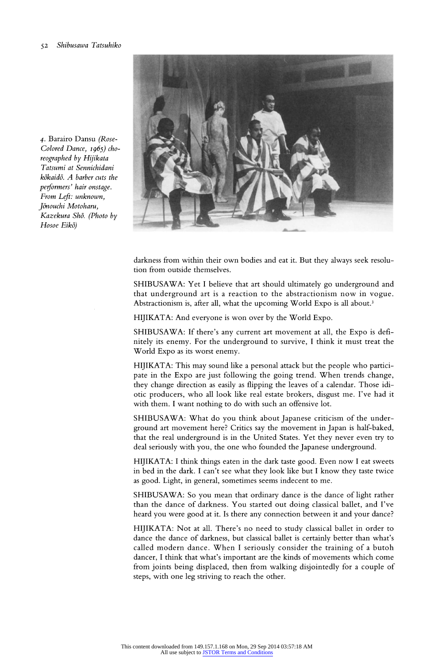4. Barairo Dansu (Rose-Colored Dance, 1965) choreographed by Hijikata Tatsumi at Sennichidani  $k\bar{o}$ kaid $\bar{o}$ . A barber cuts the performers' hair onstage. From Left: unknown, Jōnouchi Motoharu, Kazekura Shō. (Photo by Hosoe Eikō)



darkness from within their own bodies and eat it. But they always seek resolution from outside themselves.

SHIBUSAWA: Yet I believe that art should ultimately go underground and that underground art is a reaction to the abstractionism now in vogue. Abstractionism is, after all, what the upcoming World Expo is all about.<sup>3</sup>

HIJIKATA: And everyone is won over by the World Expo.

SHIBUSAWA: If there's any current art movement at all, the Expo is definitely its enemy. For the underground to survive, I think it must treat the World Expo as its worst enemy.

HIJIKATA: This may sound like a personal attack but the people who participate in the Expo are just following the going trend. When trends change, they change direction as easily as flipping the leaves of a calendar. Those idiotic producers, who all look like real estate brokers, disgust me. I've had it with them. I want nothing to do with such an offensive lot.

SHIBUSAWA: What do you think about Japanese criticism of the underground art movement here? Critics say the movement in Japan is half-baked, that the real underground is in the United States. Yet they never even try to deal seriously with you, the one who founded the Japanese underground.

HIJIKATA: I think things eaten in the dark taste good. Even now I eat sweets in bed in the dark. I can't see what they look like but I know they taste twice as good. Light, in general, sometimes seems indecent to me.

SHIBUSAWA: So you mean that ordinary dance is the dance of light rather than the dance of darkness. You started out doing classical ballet, and I've heard you were good at it. Is there any connection between it and your dance?

HIJIKATA: Not at all. There's no need to study classical ballet in order to dance the dance of darkness, but classical ballet is certainly better than what's called modern dance. When I seriously consider the training of a butoh dancer, I think that what's important are the kinds of movements which come from joints being displaced, then from walking disjointedly for a couple of steps, with one leg striving to reach the other.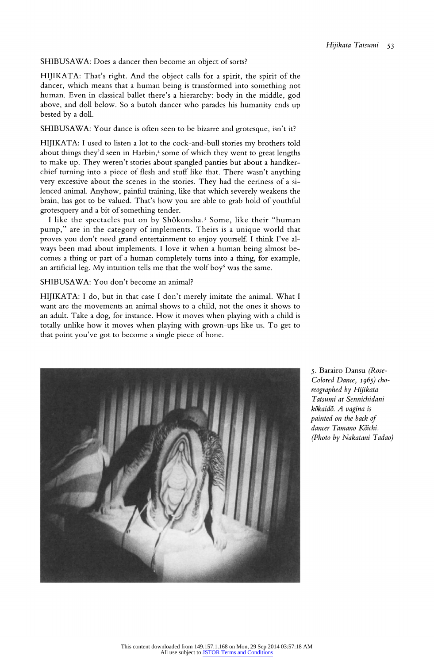SHIBUSAWA: Does a dancer then become an object of sorts?

HIJIKATA: That's right. And the object calls for a spirit, the spirit of the dancer, which means that a human being is transformed into something not human. Even in classical ballet there's a hierarchy: body in the middle, god above, and doll below. So a butoh dancer who parades his humanity ends up bested by a doll.

SHIBUSAWA: Your dance is often seen to be bizarre and grotesque, isn't it?

HIJIKATA: I used to listen alot to the cock-and-bull stories my brothers told about things they'd seen in Harbin,<sup>4</sup> some of which they went to great lengths to make up. They weren't stories about spangled panties but about a handkerchief turning into a piece of flesh and stuff like that. There wasn't anything very excessive about the scenes in the stories. They had the eeriness of a silenced animal. Anyhow, painful training, like that which severely weakens the brain, has got to be valued. That's how you are able to grab hold of youthful grotesquery and a bit of something tender.

I like the spectacles put on by Shōkonsha.<sup>5</sup> Some, like their "human pump," are in the category of implements. Theirs is a unique world that proves you don't need grand entertainment to enjoy yourself. I think I've always been mad about implements. I love it when a human being almost becomes a thing or part of a human completely turns into a thing, for example, an artificial leg. My intuition tells me that the wolf boy $\delta$  was the same.

#### SHIBUSAWA: You don't become an animal?

HIJIKATA: I do, but in that case I don't merely imitate the animal. What I want are the movements an animal shows to a child, not the ones it shows to an adult. Take a dog, for instance. How it moves when playing with a child is totally unlike how it moves when playing with grown-ups like us. To get to that point you've got to become a single piece of bone.



5. Barairo Dansu (Rose-Colored Dance, 1965) choreographed by Hijikata Tatsumi at Sennichidani kōkaidō. A vagina is painted on the back of dancer Tamano Kōichi. (Photo by Nakatani Tadao)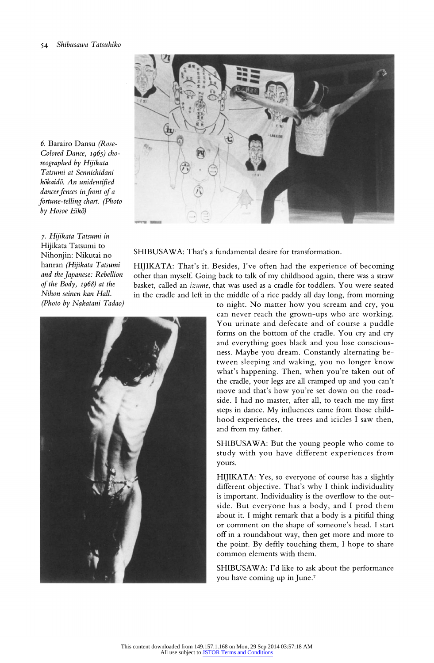

6. Barairo Dansu (Rose-Colored Dance, 1965) choreographed by Hijikata Tatsumi at Sennichidani kōkaidō. An unidentified dancer fences in front of a fortune-telling chart. (Photo by Hosoe Eikō)

7. Hijikata Tatsumi in Hijikata Tatsumi to Nihonjin: Nikutai no hanran (Hijikata Tatsumi and the Japanese: Rebellion of the Body, 1968) at the Nihon seinen kan Hall. (Photo by Nakatani Tadao)

SHIBUSAWA: That's a fundamental desire for transformation.

HIJIKATA: That's it. Besides, I've often had the experience of becoming other than myself. Going back to talk of my childhood again, there was a straw basket, called an izume, that was used as a cradle for toddlers. You were seated in the cradle and left in the middle of a rice paddy all day long, from morning



to night. No matter how you scream and cry, you can never reach the grown-ups who are working. You urinate and defecate and of course a puddle forms on the bottom of the cradle. You cry and cry and everything goes black and you lose consciousness. Maybe you dream. Constantly alternating between sleeping and waking, you no longer know what's happening. Then, when you're taken out of the cradle, your legs are all cramped up and you can't move and that's how you're set down on the roadside. I had no master, after all, to teach me my first steps in dance. My influences came from those childhood experiences, the trees and icicles I saw then, and from my father.

SHIBUSAWA: But the young people who come to study with you have different experiences from yours.

HIJIKATA: Yes, so everyone of course has a slightly different objective. That's why I think individuality is important. Individuality is the overflow to the outside. But everyone has a body, and I prod them about it. I might remark that a body is a pitiful thing or comment on the shape of someone's head. I start off in a roundabout way, then get more and more to the point. By deftly touching them, I hope to share common elements with them.

SHIBUSAWA: I'd like to ask about the performance you have coming up in June.'